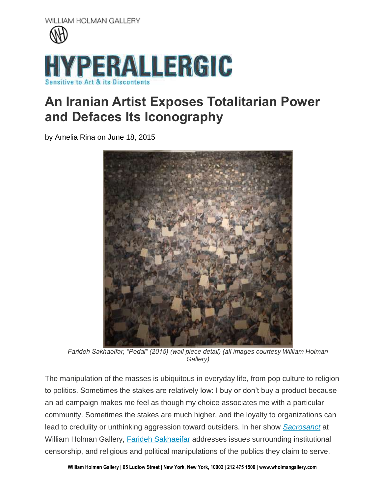

## **An Iranian Artist Exposes Totalitarian Power and Defaces Its Iconography**

by Amelia Rina on June 18, 2015



*Farideh Sakhaeifar, "Pedal" (2015) (wall piece detail) (all images courtesy William Holman Gallery)*

The manipulation of the masses is ubiquitous in everyday life, from pop culture to religion to politics. Sometimes the stakes are relatively low: I buy or don't buy a product because an ad campaign makes me feel as though my choice associates me with a particular community. Sometimes the stakes are much higher, and the loyalty to organizations can lead to credulity or unthinking aggression toward outsiders. In her show *[Sacrosanct](http://www.wholmangallery.com/exhibitions/farideh-sakhaeifar-sacrosanct)* at William Holman Gallery, [Farideh Sakhaeifar](http://faridehsakhaeifar.com/home.html) addresses issues surrounding institutional censorship, and religious and political manipulations of the publics they claim to serve.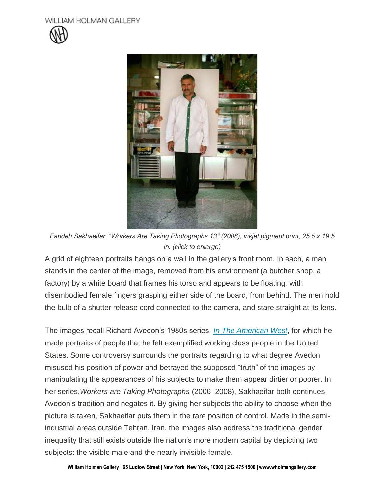



*Farideh Sakhaeifar, "Workers Are Taking Photographs 13″ (2008), inkjet pigment print, 25.5 x 19.5 in. (click to enlarge)*

A grid of eighteen portraits hangs on a wall in the gallery's front room. In each, a man stands in the center of the image, removed from his environment (a butcher shop, a factory) by a white board that frames his torso and appears to be floating, with disembodied female fingers grasping either side of the board, from behind. The men hold the bulb of a shutter release cord connected to the camera, and stare straight at its lens.

The images recall Richard Avedon's 1980s series, *[In The American West](http://www.theavedonfoundation.net/index.php#mi=2&pt=1&pi=10000&s=0&p=7&a=0&at=0)*, for which he made portraits of people that he felt exemplified working class people in the United States. Some controversy surrounds the portraits regarding to what degree Avedon misused his position of power and betrayed the supposed "truth" of the images by manipulating the appearances of his subjects to make them appear dirtier or poorer. In her series,*Workers are Taking Photographs* (2006–2008), Sakhaeifar both continues Avedon's tradition and negates it. By giving her subjects the ability to choose when the picture is taken, Sakhaeifar puts them in the rare position of control. Made in the semiindustrial areas outside Tehran, Iran, the images also address the traditional gender inequality that still exists outside the nation's more modern capital by depicting two subjects: the visible male and the nearly invisible female.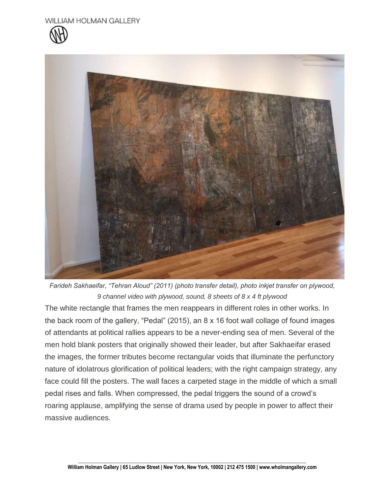



*Farideh Sakhaeifar, "Tehran Aloud" (2011) (photo transfer detail), photo inkjet transfer on plywood, 9 channel video with plywood, sound, 8 sheets of 8 x 4 ft plywood*

The white rectangle that frames the men reappears in different roles in other works. In the back room of the gallery, "Pedal" (2015), an 8 x 16 foot wall collage of found images of attendants at political rallies appears to be a never-ending sea of men. Several of the men hold blank posters that originally showed their leader, but after Sakhaeifar erased the images, the former tributes become rectangular voids that illuminate the perfunctory nature of idolatrous glorification of political leaders; with the right campaign strategy, any face could fill the posters. The wall faces a carpeted stage in the middle of which a small pedal rises and falls. When compressed, the pedal triggers the sound of a crowd's roaring applause, amplifying the sense of drama used by people in power to affect their massive audiences.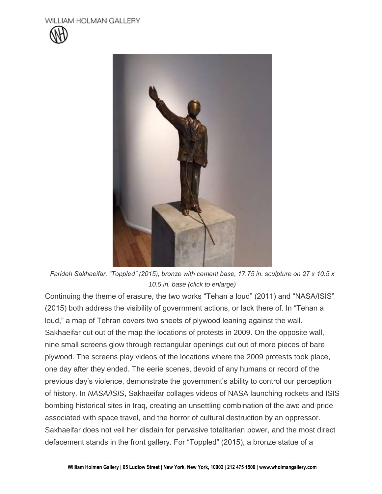



*Farideh Sakhaeifar, "Toppled" (2015), bronze with cement base, 17.75 in. sculpture on 27 x 10.5 x 10.5 in. base (click to enlarge)*

Continuing the theme of erasure, the two works "Tehan a loud" (2011) and "NASA/ISIS" (2015) both address the visibility of government actions, or lack there of. In "Tehan a loud," a map of Tehran covers two sheets of plywood leaning against the wall. Sakhaeifar cut out of the map the locations of protests in 2009. On the opposite wall, nine small screens glow through rectangular openings cut out of more pieces of bare plywood. The screens play videos of the locations where the 2009 protests took place, one day after they ended. The eerie scenes, devoid of any humans or record of the previous day's violence, demonstrate the government's ability to control our perception of history. In *NASA/ISIS*, Sakhaeifar collages videos of NASA launching rockets and ISIS bombing historical sites in Iraq, creating an unsettling combination of the awe and pride associated with space travel, and the horror of cultural destruction by an oppressor. Sakhaeifar does not veil her disdain for pervasive totalitarian power, and the most direct defacement stands in the front gallery. For "Toppled" (2015), a bronze statue of a